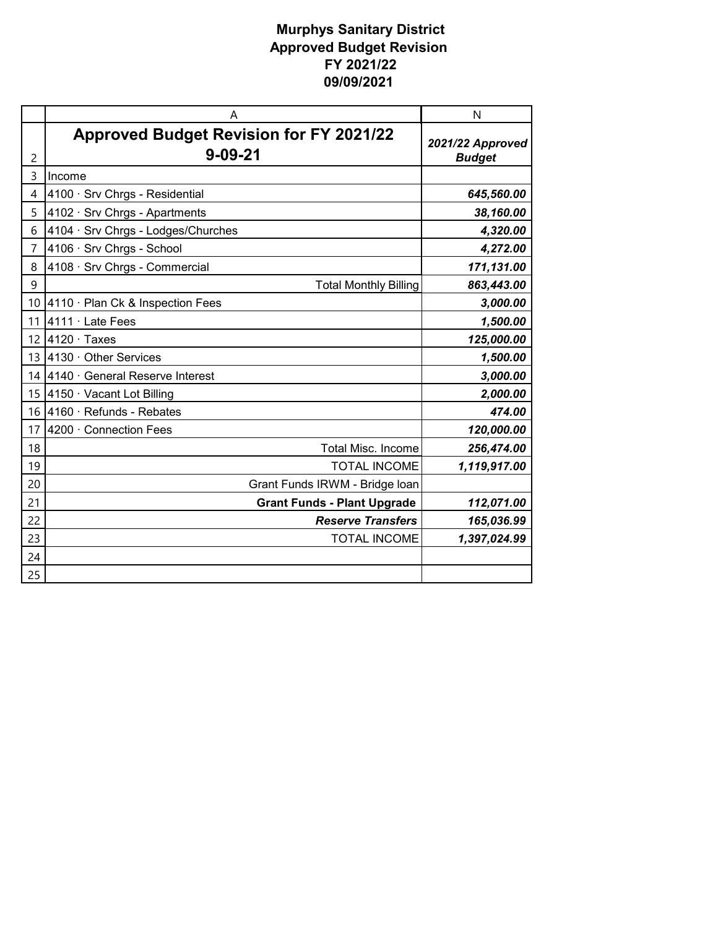|    | A                                                               | N                                 |
|----|-----------------------------------------------------------------|-----------------------------------|
| 2  | <b>Approved Budget Revision for FY 2021/22</b><br>$9 - 09 - 21$ | 2021/22 Approved<br><b>Budget</b> |
| 3  | Income                                                          |                                   |
| 4  | 4100 · Srv Chrgs - Residential                                  | 645,560.00                        |
| 5  | 4102 · Srv Chrgs - Apartments                                   | 38,160.00                         |
| 6  | 4104 · Srv Chrgs - Lodges/Churches                              | 4,320.00                          |
| 7  | 4106 · Srv Chrgs - School                                       | 4,272.00                          |
| 8  | 4108 · Srv Chrgs - Commercial                                   | 171,131.00                        |
| 9  | <b>Total Monthly Billing</b>                                    | 863,443.00                        |
| 10 | 4110 · Plan Ck & Inspection Fees                                | 3,000.00                          |
| 11 | 4111 · Late Fees                                                | 1,500.00                          |
| 12 | $4120 \cdot$ Taxes                                              | 125,000.00                        |
| 13 | $ 4130 \cdot$ Other Services                                    | 1,500.00                          |
| 14 | 4140 · General Reserve Interest                                 | 3,000.00                          |
| 15 | 4150 · Vacant Lot Billing                                       | 2,000.00                          |
| 16 | 4160 · Refunds - Rebates                                        | 474.00                            |
| 17 | 4200 · Connection Fees                                          | 120,000.00                        |
| 18 | <b>Total Misc. Income</b>                                       | 256,474.00                        |
| 19 | <b>TOTAL INCOME</b>                                             | 1,119,917.00                      |
| 20 | Grant Funds IRWM - Bridge loan                                  |                                   |
| 21 | <b>Grant Funds - Plant Upgrade</b>                              | 112,071.00                        |
| 22 | <b>Reserve Transfers</b>                                        | 165,036.99                        |
| 23 | <b>TOTAL INCOME</b>                                             | 1,397,024.99                      |
| 24 |                                                                 |                                   |
| 25 |                                                                 |                                   |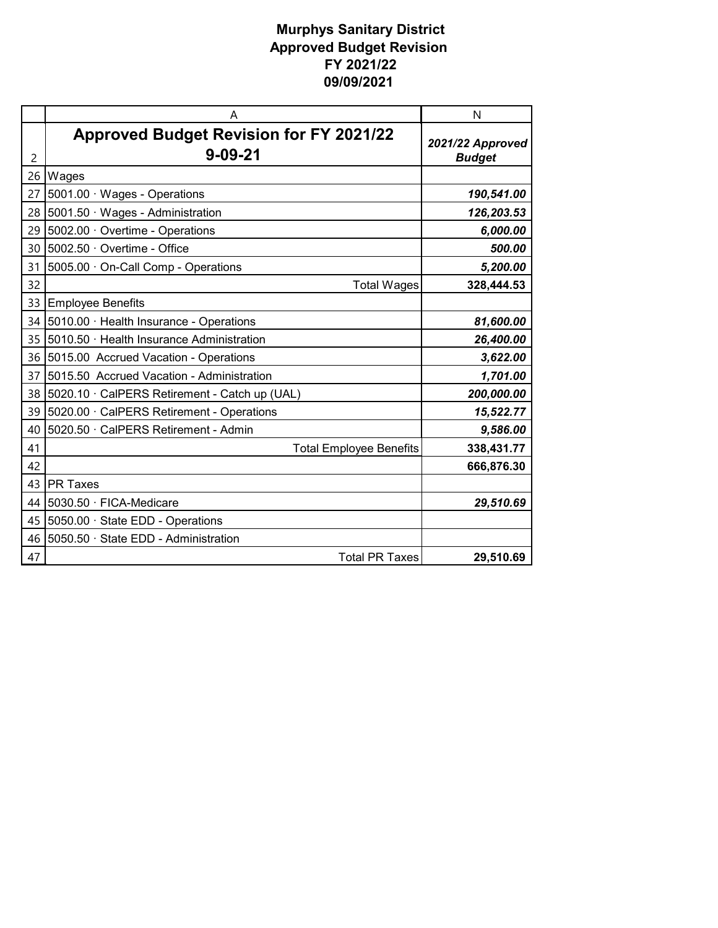|    | A                                              | N                |
|----|------------------------------------------------|------------------|
|    | <b>Approved Budget Revision for FY 2021/22</b> | 2021/22 Approved |
| 2  | $9 - 09 - 21$                                  | <b>Budget</b>    |
| 26 | Wages                                          |                  |
| 27 | 5001.00 · Wages - Operations                   | 190,541.00       |
| 28 | 5001.50 · Wages - Administration               | 126,203.53       |
| 29 | 5002.00 Overtime - Operations                  | 6,000.00         |
| 30 | 5002.50 · Overtime - Office                    | 500.00           |
| 31 | 5005.00 · On-Call Comp - Operations            | 5,200.00         |
| 32 | <b>Total Wages</b>                             | 328,444.53       |
| 33 | <b>Employee Benefits</b>                       |                  |
| 34 | 5010.00 · Health Insurance - Operations        | 81,600.00        |
| 35 | 5010.50 · Health Insurance Administration      | 26,400.00        |
| 36 | 5015.00 Accrued Vacation - Operations          | 3,622.00         |
| 37 | 5015.50 Accrued Vacation - Administration      | 1,701.00         |
| 38 | 5020.10 · CalPERS Retirement - Catch up (UAL)  | 200,000.00       |
| 39 | 5020.00 · CalPERS Retirement - Operations      | 15,522.77        |
| 40 | 5020.50 · CalPERS Retirement - Admin           | 9,586.00         |
| 41 | <b>Total Employee Benefits</b>                 | 338,431.77       |
| 42 |                                                | 666,876.30       |
| 43 | <b>PR Taxes</b>                                |                  |
| 44 | 5030.50 · FICA-Medicare                        | 29,510.69        |
| 45 | 5050.00 · State EDD - Operations               |                  |
| 46 | 5050.50 · State EDD - Administration           |                  |
| 47 | <b>Total PR Taxes</b>                          | 29,510.69        |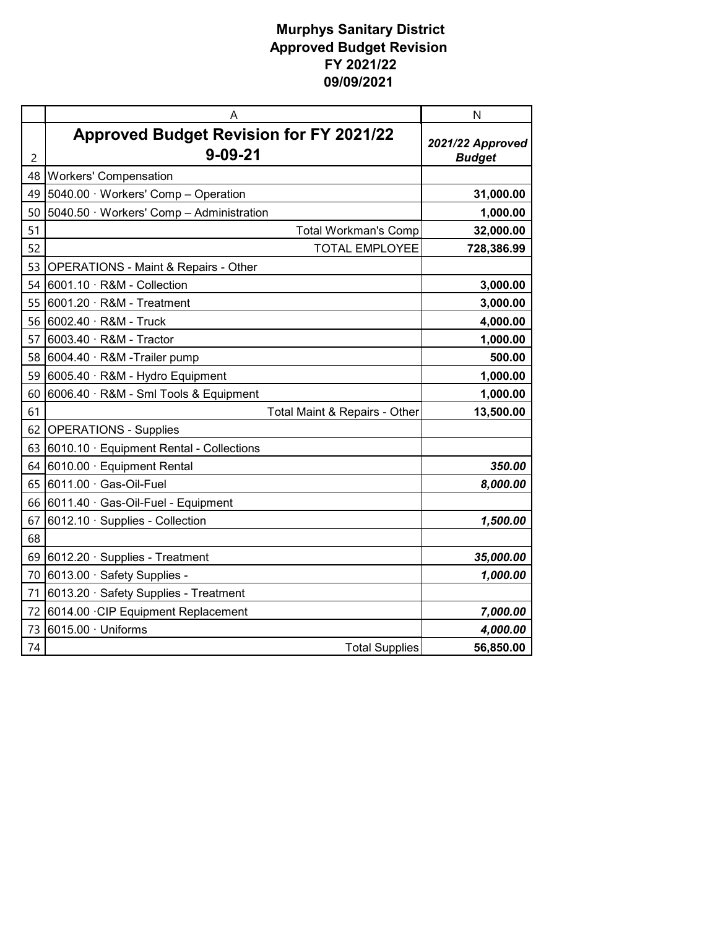|    | A                                                               | N                                 |
|----|-----------------------------------------------------------------|-----------------------------------|
| 2  | <b>Approved Budget Revision for FY 2021/22</b><br>$9 - 09 - 21$ | 2021/22 Approved<br><b>Budget</b> |
| 48 | <b>Workers' Compensation</b>                                    |                                   |
| 49 | 5040.00 · Workers' Comp - Operation                             | 31,000.00                         |
| 50 | 5040.50 · Workers' Comp - Administration                        | 1,000.00                          |
| 51 | <b>Total Workman's Comp</b>                                     | 32,000.00                         |
| 52 | <b>TOTAL EMPLOYEE</b>                                           | 728,386.99                        |
| 53 | <b>OPERATIONS - Maint &amp; Repairs - Other</b>                 |                                   |
| 54 | 6001.10 $\cdot$ R&M - Collection                                | 3,000.00                          |
| 55 | 6001.20 · R&M - Treatment                                       | 3,000.00                          |
| 56 | $6002.40 \cdot R$ &M - Truck                                    | 4,000.00                          |
| 57 | 6003.40 · R&M - Tractor                                         | 1,000.00                          |
| 58 | 6004.40 · R&M -Trailer pump                                     | 500.00                            |
| 59 | 6005.40 · R&M - Hydro Equipment                                 | 1,000.00                          |
| 60 | 6006.40 · R&M - Sml Tools & Equipment                           | 1,000.00                          |
| 61 | Total Maint & Repairs - Other                                   | 13,500.00                         |
| 62 | <b>OPERATIONS - Supplies</b>                                    |                                   |
| 63 | 6010.10 · Equipment Rental - Collections                        |                                   |
| 64 | 6010.00 · Equipment Rental                                      | 350.00                            |
| 65 | $6011.00 \cdot$ Gas-Oil-Fuel                                    | 8,000.00                          |
| 66 | 6011.40 · Gas-Oil-Fuel - Equipment                              |                                   |
| 67 | 6012.10 · Supplies - Collection                                 | 1,500.00                          |
| 68 |                                                                 |                                   |
| 69 | 6012.20 · Supplies - Treatment                                  | 35,000.00                         |
| 70 | 6013.00 · Safety Supplies -                                     | 1,000.00                          |
| 71 | 6013.20 · Safety Supplies - Treatment                           |                                   |
| 72 | 6014.00 CIP Equipment Replacement                               | 7,000.00                          |
| 73 | $6015.00 \cdot$ Uniforms                                        | 4,000.00                          |
| 74 | <b>Total Supplies</b>                                           | 56,850.00                         |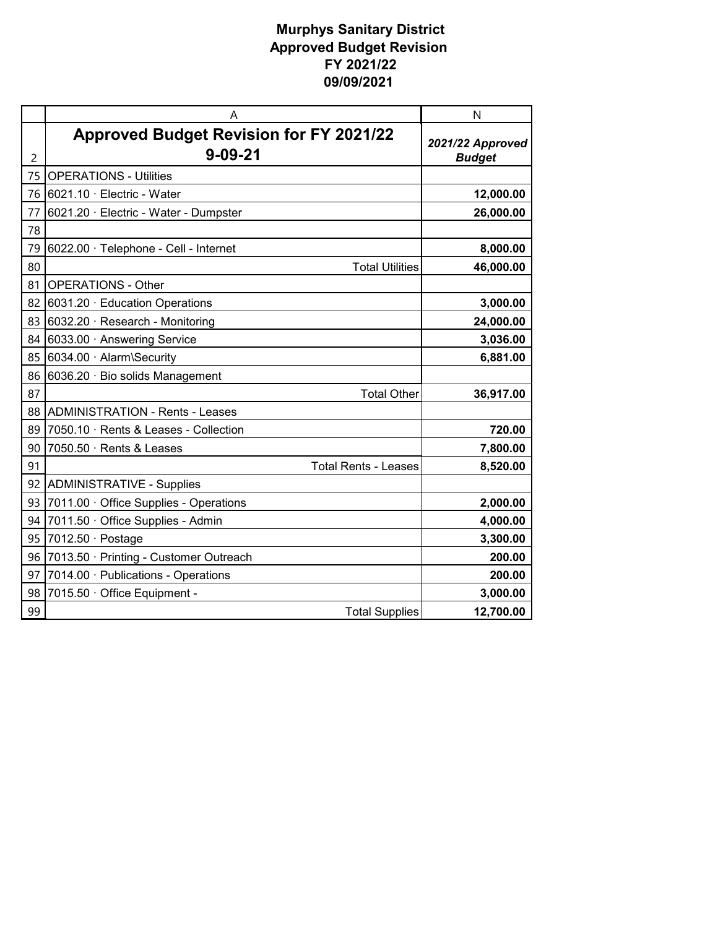|    | Α                                                               | N                                 |
|----|-----------------------------------------------------------------|-----------------------------------|
| 2  | <b>Approved Budget Revision for FY 2021/22</b><br>$9 - 09 - 21$ | 2021/22 Approved<br><b>Budget</b> |
| 75 | <b>OPERATIONS - Utilities</b>                                   |                                   |
| 76 | 6021.10 $\cdot$ Electric - Water                                | 12,000.00                         |
| 77 | 6021.20 · Electric - Water - Dumpster                           | 26,000.00                         |
| 78 |                                                                 |                                   |
| 79 | 6022.00 · Telephone - Cell - Internet                           | 8,000.00                          |
| 80 | <b>Total Utilities</b>                                          | 46,000.00                         |
| 81 | <b>OPERATIONS - Other</b>                                       |                                   |
| 82 | 6031.20 · Education Operations                                  | 3,000.00                          |
| 83 | 6032.20 $\cdot$ Research - Monitoring                           | 24,000.00                         |
| 84 | 6033.00 · Answering Service                                     | 3,036.00                          |
| 85 | 6034.00 · Alarm\Security                                        | 6,881.00                          |
| 86 | 6036.20 · Bio solids Management                                 |                                   |
| 87 | <b>Total Other</b>                                              | 36,917.00                         |
| 88 | <b>ADMINISTRATION - Rents - Leases</b>                          |                                   |
| 89 | 7050.10 · Rents & Leases - Collection                           | 720.00                            |
| 90 | 7050.50 · Rents & Leases                                        | 7,800.00                          |
| 91 | <b>Total Rents - Leases</b>                                     | 8,520.00                          |
| 92 | <b>ADMINISTRATIVE - Supplies</b>                                |                                   |
| 93 | 7011.00 Office Supplies - Operations                            | 2,000.00                          |
| 94 | 7011.50 · Office Supplies - Admin                               | 4,000.00                          |
| 95 | 7012.50 $\cdot$ Postage                                         | 3,300.00                          |
| 96 | 7013.50 · Printing - Customer Outreach                          | 200.00                            |
| 97 | 7014.00 · Publications - Operations                             | 200.00                            |
| 98 | 7015.50 · Office Equipment -                                    | 3,000.00                          |
| 99 | <b>Total Supplies</b>                                           | 12,700.00                         |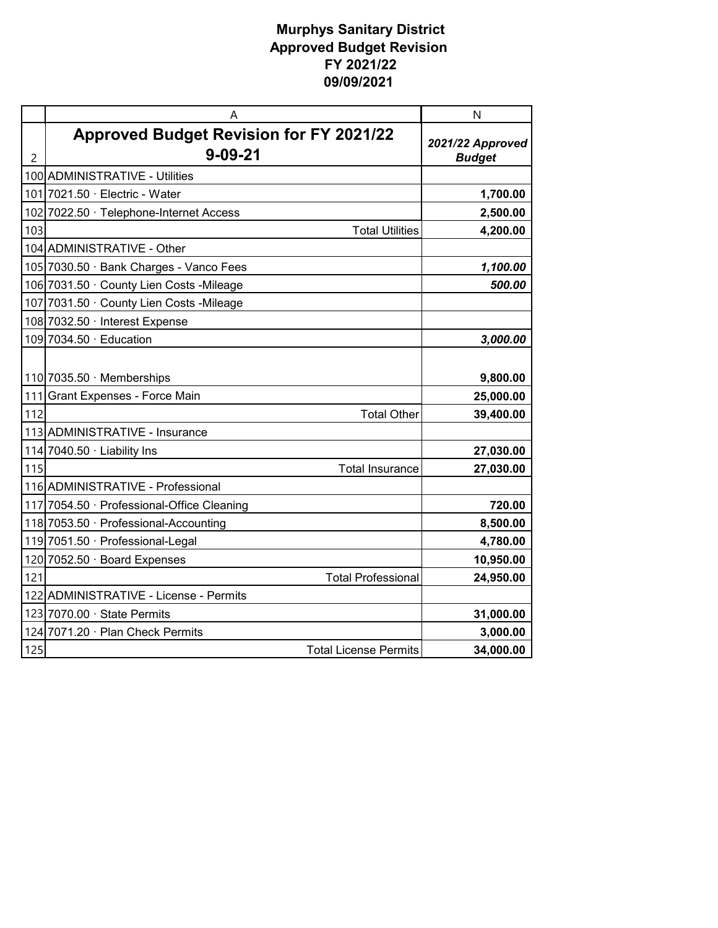|                | A                                                               | N                                 |
|----------------|-----------------------------------------------------------------|-----------------------------------|
| $\overline{2}$ | <b>Approved Budget Revision for FY 2021/22</b><br>$9 - 09 - 21$ | 2021/22 Approved<br><b>Budget</b> |
|                | 100 ADMINISTRATIVE - Utilities                                  |                                   |
|                | 101 7021.50 · Electric - Water                                  | 1,700.00                          |
| 102            | 7022.50 · Telephone-Internet Access                             | 2,500.00                          |
| 103            | <b>Total Utilities</b>                                          | 4,200.00                          |
|                | 104 ADMINISTRATIVE - Other                                      |                                   |
|                | 105 7030.50 · Bank Charges - Vanco Fees                         | 1,100.00                          |
|                | 106 7031.50 · County Lien Costs - Mileage                       | 500.00                            |
|                | 107 7031.50 · County Lien Costs - Mileage                       |                                   |
|                | 108 7032.50 · Interest Expense                                  |                                   |
|                | 109 7034.50 $\cdot$ Education                                   | 3,000.00                          |
|                |                                                                 |                                   |
|                | 110 7035.50 $\cdot$ Memberships                                 | 9,800.00                          |
|                | 111 Grant Expenses - Force Main                                 | 25,000.00                         |
| 112            | <b>Total Other</b>                                              | 39,400.00                         |
|                | 113 ADMINISTRATIVE - Insurance                                  |                                   |
|                | 114 7040.50 · Liability Ins                                     | 27,030.00                         |
| 115            | <b>Total Insurance</b>                                          | 27,030.00                         |
|                | 116 ADMINISTRATIVE - Professional                               |                                   |
|                | 117 7054.50 · Professional-Office Cleaning                      | 720.00                            |
|                | 118 7053.50 · Professional-Accounting                           | 8,500.00                          |
|                | 119 7051.50 · Professional-Legal                                | 4,780.00                          |
|                | 120 7052.50 · Board Expenses                                    | 10,950.00                         |
| 121            | <b>Total Professional</b>                                       | 24,950.00                         |
|                | 122 ADMINISTRATIVE - License - Permits                          |                                   |
|                | $123$ 7070.00 $\cdot$ State Permits                             | 31,000.00                         |
|                | 124 7071.20 · Plan Check Permits                                | 3,000.00                          |
| 125            | <b>Total License Permits</b>                                    | 34,000.00                         |